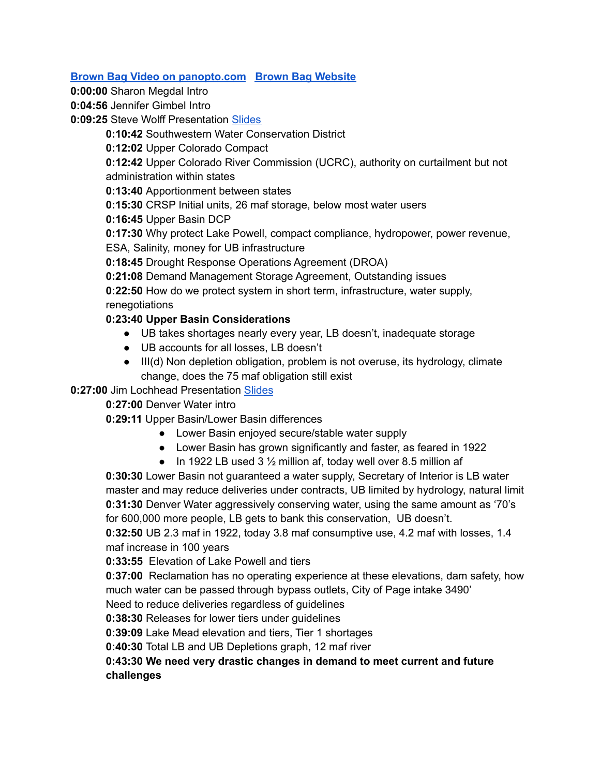## **Brown Bag Video on [panopto.com](https://arizona.hosted.panopto.com/Panopto/Pages/Viewer.aspx?id=0f87adc4-7d38-4718-90f5-ae67015e3d08) Brown Bag [Website](https://wrrc.arizona.edu/events/brown-bag/brown-bag-webinar-looking-upstream-upper-basin-perspective)**

**0:00:00** Sharon Megdal Intro

**0:04:56** Jennifer Gimbel Intro

**0:09:25** Steve Wolff Presentation [Slides](https://wrrc.arizona.edu/sites/wrrc.arizona.edu/files/BBW-3-29-22-Upper-Basin-Perspective-Wolff.pdf)

**0:10:42** Southwestern Water Conservation District

**0:12:02** Upper Colorado Compact

**0:12:42** Upper Colorado River Commission (UCRC), authority on curtailment but not administration within states

**0:13:40** Apportionment between states

**0:15:30** CRSP Initial units, 26 maf storage, below most water users

**0:16:45** Upper Basin DCP

**0:17:30** Why protect Lake Powell, compact compliance, hydropower, power revenue, ESA, Salinity, money for UB infrastructure

**0:18:45** Drought Response Operations Agreement (DROA)

**0:21:08** Demand Management Storage Agreement, Outstanding issues

**0:22:50** How do we protect system in short term, infrastructure, water supply, renegotiations

## **0:23:40 Upper Basin Considerations**

- UB takes shortages nearly every year, LB doesn't, inadequate storage
- UB accounts for all losses, LB doesn't
- III(d) Non depletion obligation, problem is not overuse, its hydrology, climate change, does the 75 maf obligation still exist

## **0:27:00** Jim Lochhead Presentation [Slides](https://wrrc.arizona.edu/sites/wrrc.arizona.edu/files/BBW-3-29-22-Upper-Basin-Perspective-Lochhead.pdf)

**0:27:00** Denver Water intro

**0:29:11** Upper Basin/Lower Basin differences

- Lower Basin enjoyed secure/stable water supply
- Lower Basin has grown significantly and faster, as feared in 1922
- In 1922 LB used 3  $\frac{1}{2}$  million af, today well over 8.5 million af

**0:30:30** Lower Basin not guaranteed a water supply, Secretary of Interior is LB water master and may reduce deliveries under contracts, UB limited by hydrology, natural limit **0:31:30** Denver Water aggressively conserving water, using the same amount as '70's for 600,000 more people, LB gets to bank this conservation, UB doesn't.

**0:32:50** UB 2.3 maf in 1922, today 3.8 maf consumptive use, 4.2 maf with losses, 1.4 maf increase in 100 years

**0:33:55** Elevation of Lake Powell and tiers

**0:37:00** Reclamation has no operating experience at these elevations, dam safety, how much water can be passed through bypass outlets, City of Page intake 3490' Need to reduce deliveries regardless of guidelines

**0:38:30** Releases for lower tiers under guidelines

**0:39:09** Lake Mead elevation and tiers, Tier 1 shortages

**0:40:30** Total LB and UB Depletions graph, 12 maf river

## **0:43:30 We need very drastic changes in demand to meet current and future challenges**